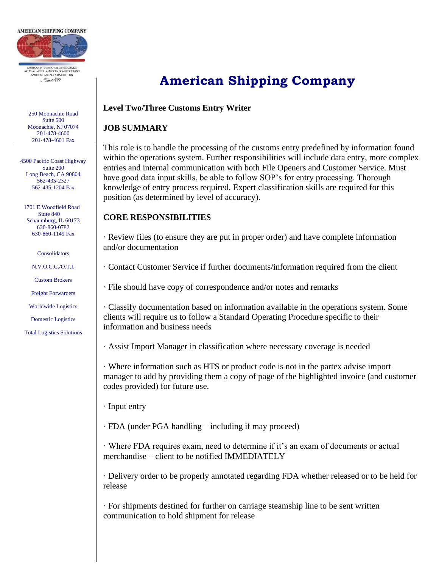

250 Moonachie Road Suite 500 Moonachie, NJ 07074 201-478-4600 201-478-4601 Fax

4500 Pacific Coast Highway Suite 200 Long Beach, CA 90804 562-435-2327 562-435-1204 Fax

 1701 E.Woodfield Road Suite 840 Schaumburg, IL 60173 630-860-0782 630-860-1149 Fax

Consolidators

N.V.O.C.C./O.T.I.

Custom Brokers

Freight Forwarders

Worldwide Logistics

Domestic Logistics

Total Logistics Solutions

# **American Shipping Company**

#### **Level Two/Three Customs Entry Writer**

#### **JOB SUMMARY**

This role is to handle the processing of the customs entry predefined by information found within the operations system. Further responsibilities will include data entry, more complex entries and internal communication with both File Openers and Customer Service. Must have good data input skills, be able to follow SOP's for entry processing. Thorough knowledge of entry process required. Expert classification skills are required for this position (as determined by level of accuracy).

#### **CORE RESPONSIBILITIES**

· Review files (to ensure they are put in proper order) and have complete information and/or documentation

· Contact Customer Service if further documents/information required from the client

· File should have copy of correspondence and/or notes and remarks

· Classify documentation based on information available in the operations system. Some clients will require us to follow a Standard Operating Procedure specific to their information and business needs

· Assist Import Manager in classification where necessary coverage is needed

· Where information such as HTS or product code is not in the partex advise import manager to add by providing them a copy of page of the highlighted invoice (and customer codes provided) for future use.

· Input entry

· FDA (under PGA handling – including if may proceed)

· Where FDA requires exam, need to determine if it's an exam of documents or actual merchandise – client to be notified IMMEDIATELY

· Delivery order to be properly annotated regarding FDA whether released or to be held for release

· For shipments destined for further on carriage steamship line to be sent written communication to hold shipment for release